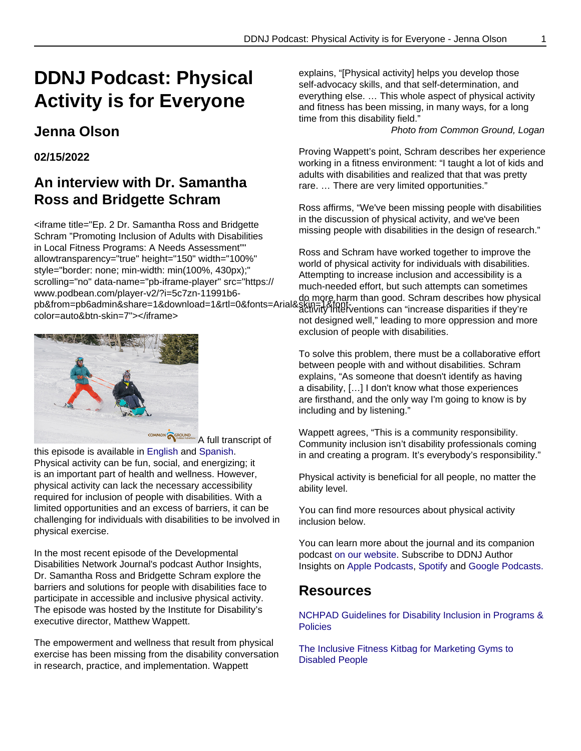# **DDNJ Podcast: Physical Activity is for Everyone**

# **Jenna Olson**

#### **02/15/2022**

# **An interview with Dr. Samantha Ross and Bridgette Schram**

<iframe title="Ep. 2 Dr. Samantha Ross and Bridgette Schram "Promoting Inclusion of Adults with Disabilities in Local Fitness Programs: A Needs Assessment"" allowtransparency="true" height="150" width="100%" style="border: none; min-width: min(100%, 430px);" scrolling="no" data-name="pb-iframe-player" src="https:// www.podbean.com/player-v2/?i=5c7zn-11991b6 www.podbeam.com/player-vz/?i≡5c7zh-T1991bo- do more harm than good. Schram describes how physical<br>httl=0&fonts=Arial&skin=1&font-0.htm than good. Schram describes how physical color=auto&btn-skin=7"></iframe>



**COMMON GEROUND** A full transcript of

this episode is available in English and Spanish. Physical activity can be fun, social, and energizing; it is an important part of health and wellness. However, physical activity can lack the necessary accessibility required for inclusion of people with disabilities. With a limited opportunities and an excess of barriers, it can be challenging for individuals with disabilities to be involved in physical exercise.

In the most recent episode of the Developmental Disabilities Network Journal's podcast Author Insights, Dr. Samantha Ross and Bridgette Schram explore the barriers and solutions for people with disabilities face to participate in accessible and inclusive physical activity. The episode was hosted by the Institute for Disability's executive director, Matthew Wappett.

The empowerment and wellness that result from physical exercise has been missing from the disability conversation in research, practice, and implementation. Wappett

explains, "[Physical activity] helps you develop those self-advocacy skills, and that self-determination, and everything else. … This whole aspect of physical activity and fitness has been missing, in many ways, for a long time from this disability field."

Photo from Common Ground, Logan

Proving Wappett's point, Schram describes her experience working in a fitness environment: "I taught a lot of kids and adults with disabilities and realized that that was pretty rare. … There are very limited opportunities."

Ross affirms, "We've been missing people with disabilities in the discussion of physical activity, and we've been missing people with disabilities in the design of research."

Ross and Schram have worked together to improve the world of physical activity for individuals with disabilities. Attempting to increase inclusion and accessibility is a much-needed effort, but such attempts can sometimes activity interventions can "increase disparities if they're not designed well," leading to more oppression and more exclusion of people with disabilities.

To solve this problem, there must be a collaborative effort between people with and without disabilities. Schram explains, "As someone that doesn't identify as having a disability, […] I don't know what those experiences are firsthand, and the only way I'm going to know is by including and by listening."

Wappett agrees, "This is a community responsibility. Community inclusion isn't disability professionals coming in and creating a program. It's everybody's responsibility."

Physical activity is beneficial for all people, no matter the ability level.

You can find more resources about physical activity inclusion below.

You can learn more about the journal and its companion podcast on our website. Subscribe to DDNJ Author Insights on [Apple Podcasts, Spotify](https://www.apple.com/apple-podcasts/) and [Google Podcasts.](https://podcasts.google.com/)

#### **Resources**

[NCHPAD Guidelines for Disability Inclusion in Programs &](https://www.nchpad.org/1189/6024/Guidelines~for~Disability~Inclusion~in~Programs~and~Policies) **[Policies](https://www.nchpad.org/1189/6024/Guidelines~for~Disability~Inclusion~in~Programs~and~Policies)** 

[The Inclusive Fitness Kitbag for Marketing Gyms to](https://www.activityalliance.org.uk/assets/000/000/414/IFI_marketing_kitbag_original.pdf?1463143687) [Disabled People](https://www.activityalliance.org.uk/assets/000/000/414/IFI_marketing_kitbag_original.pdf?1463143687)